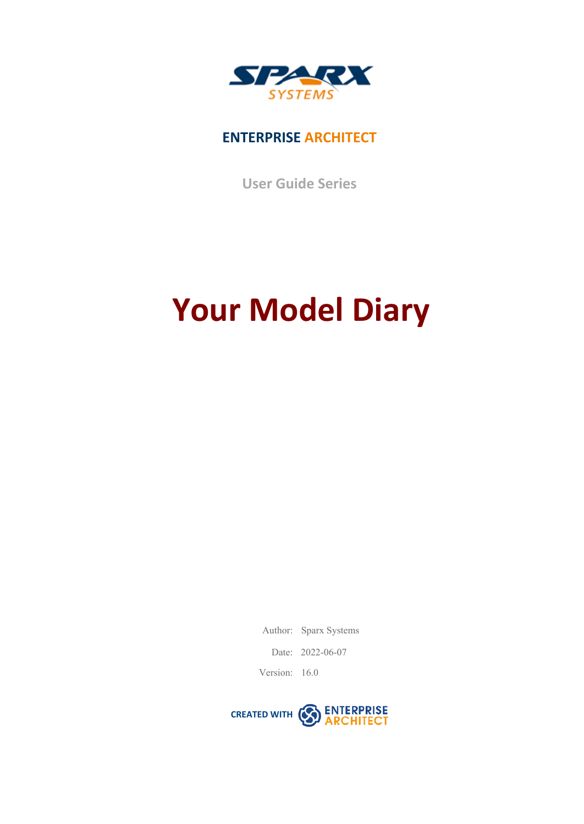

## **ENTERPRISE ARCHITECT**

**User Guide Series**

# **Your Model Diary**

Author: Sparx Systems

Date: 2022-06-07

Version: 16.0

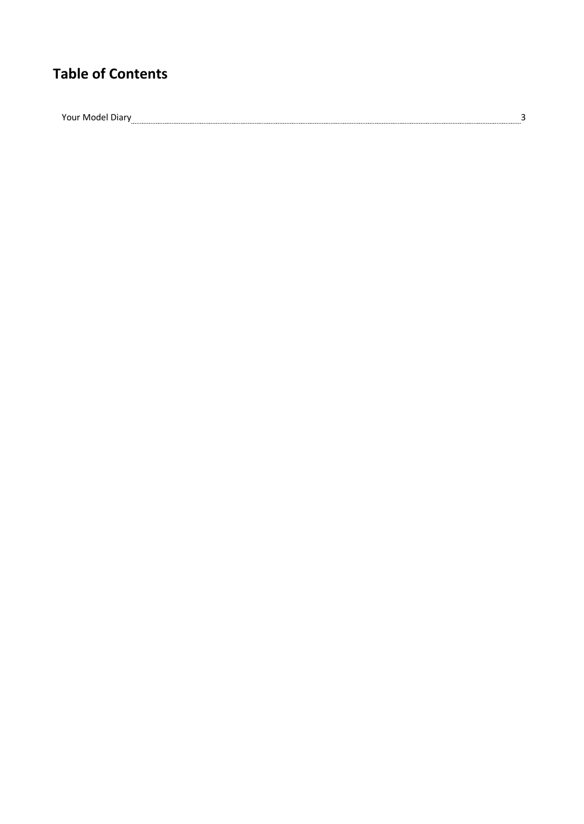## **Table of Contents**

 $\begin{array}{c} \textbf{Your Model Diary} \end{array} \begin{array}{c} \begin{array}{c} \textbf{3} \\ \textbf{1} \end{array} \end{array}$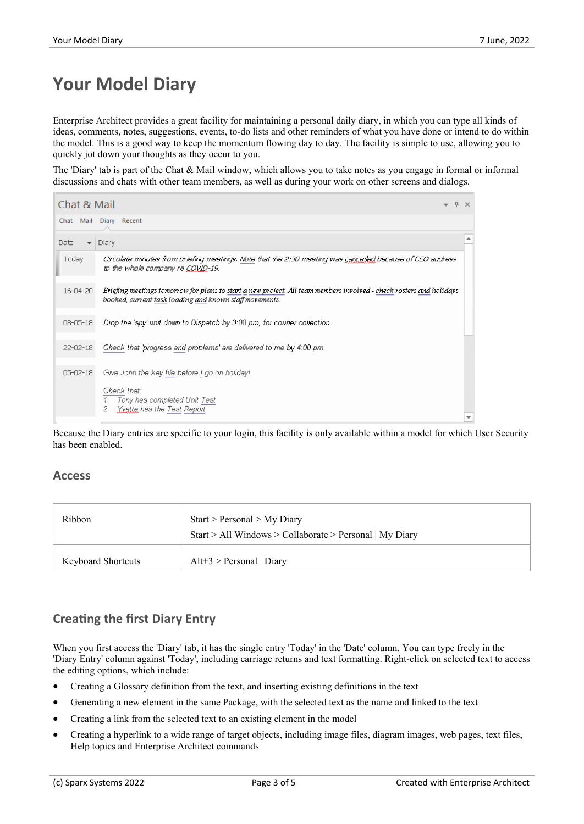## **Your Model Diary**

Enterprise Architect provides a great facility for maintaining a personal daily diary, in which you can type all kinds of ideas, comments, notes, suggestions, events, to-do lists and other reminders of what you have done or intend to do within the model. This is a good way to keep the momentum flowing day to day. The facility is simple to use, allowing you to quickly jot down your thoughts as they occur to you.

The 'Diary' tab is part of the Chat & Mail window, which allows you to take notes as you engage in formal or informal discussions and chats with other team members, as well as during your work on other screens and dialogs.

| Chat & Mail                      |                                                                                                                                                                                |  | <b>FX</b> |  |  |
|----------------------------------|--------------------------------------------------------------------------------------------------------------------------------------------------------------------------------|--|-----------|--|--|
| Chat Mail Diary Recent           |                                                                                                                                                                                |  |           |  |  |
| Date<br>$\overline{\phantom{a}}$ | Diary                                                                                                                                                                          |  |           |  |  |
| Today                            | Circulate minutes from briefing meetings. Note that the 2:30 meeting was <u>cancelled</u> because of CEO address<br>to the whole company re CQVID-19,                          |  |           |  |  |
| $16 - 04 - 20$                   | Briefing meetings tomorrow for plans to start a new project. All team members involved - check rosters and holidays<br>booked, current task loading and known staff movements. |  |           |  |  |
| $08 - 05 - 18$                   | Drop the 'spy' unit down to Dispatch by 3:00 pm, for courier collection.                                                                                                       |  |           |  |  |
| $22 - 02 - 18$                   | Check that 'progress and problems' are delivered to me by 4:00 pm.                                                                                                             |  |           |  |  |
| $05 - 02 - 18$                   | Give John the key file before I go on holiday!                                                                                                                                 |  |           |  |  |
|                                  | Check that:<br>1. Tony has completed Unit Test<br>2. Yvette has the Test Report                                                                                                |  |           |  |  |

Because the Diary entries are specific to your login, this facility is only available within a model for which User Security has been enabled.

#### **Access**

| <b>Ribbon</b>             | $Start > Personal > My$ Diary<br>Start > All Windows > Collaborate > Personal   My Diary |
|---------------------------|------------------------------------------------------------------------------------------|
| <b>Keyboard Shortcuts</b> | $Alt+3$ > Personal   Diary                                                               |

### **Creating the first Diary Entry**

When you first access the 'Diary' tab, it has the single entry 'Today' in the 'Date' column. You can type freely in the 'Diary Entry' column against 'Today', including carriage returns and text formatting. Right-click on selected text to access the editing options, which include:

- · Creating a Glossary definition from the text, and inserting existing definitions in the text
- Generating a new element in the same Package, with the selected text as the name and linked to the text
- Creating a link from the selected text to an existing element in the model
- · Creating a hyperlink to a wide range of target objects, including image files, diagram images, web pages, text files, Help topics and Enterprise Architect commands